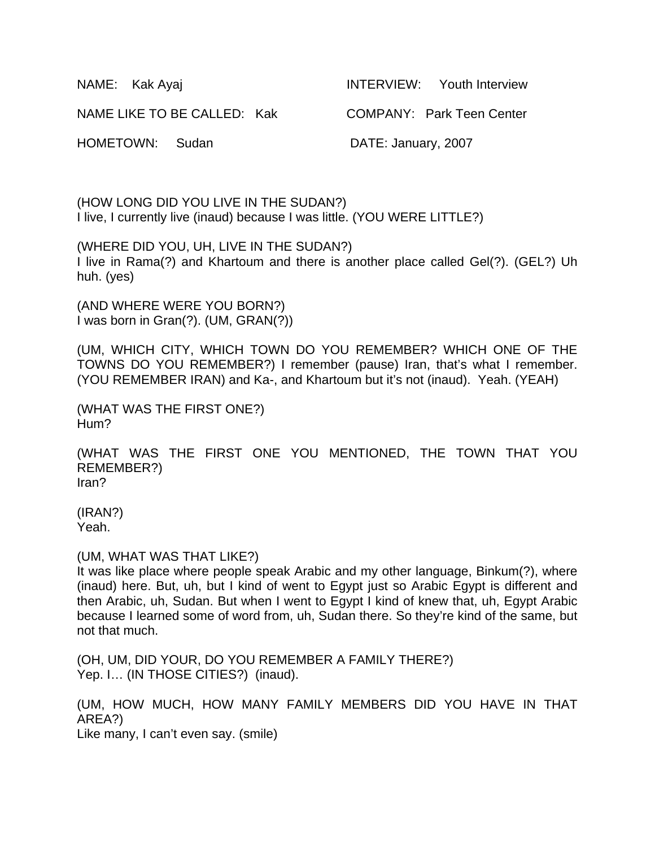| NAME: Kak Ayaj              | INTERVIEW: Youth Interview       |
|-----------------------------|----------------------------------|
| NAME LIKE TO BE CALLED: Kak | <b>COMPANY: Park Teen Center</b> |
| HOMETOWN: Sudan             | DATE: January, 2007              |

(HOW LONG DID YOU LIVE IN THE SUDAN?) I live, I currently live (inaud) because I was little. (YOU WERE LITTLE?)

(WHERE DID YOU, UH, LIVE IN THE SUDAN?) I live in Rama(?) and Khartoum and there is another place called Gel(?). (GEL?) Uh huh. (yes)

(AND WHERE WERE YOU BORN?) I was born in Gran(?). (UM, GRAN(?))

(UM, WHICH CITY, WHICH TOWN DO YOU REMEMBER? WHICH ONE OF THE TOWNS DO YOU REMEMBER?) I remember (pause) Iran, that's what I remember. (YOU REMEMBER IRAN) and Ka-, and Khartoum but it's not (inaud). Yeah. (YEAH)

```
(WHAT WAS THE FIRST ONE?) 
Hum?
```
(WHAT WAS THE FIRST ONE YOU MENTIONED, THE TOWN THAT YOU REMEMBER?) Iran?

(IRAN?) Yeah.

#### (UM, WHAT WAS THAT LIKE?)

It was like place where people speak Arabic and my other language, Binkum(?), where (inaud) here. But, uh, but I kind of went to Egypt just so Arabic Egypt is different and then Arabic, uh, Sudan. But when I went to Egypt I kind of knew that, uh, Egypt Arabic because I learned some of word from, uh, Sudan there. So they're kind of the same, but not that much.

(OH, UM, DID YOUR, DO YOU REMEMBER A FAMILY THERE?) Yep. I... (IN THOSE CITIES?) (inaud).

(UM, HOW MUCH, HOW MANY FAMILY MEMBERS DID YOU HAVE IN THAT AREA?) Like many, I can't even say. (smile)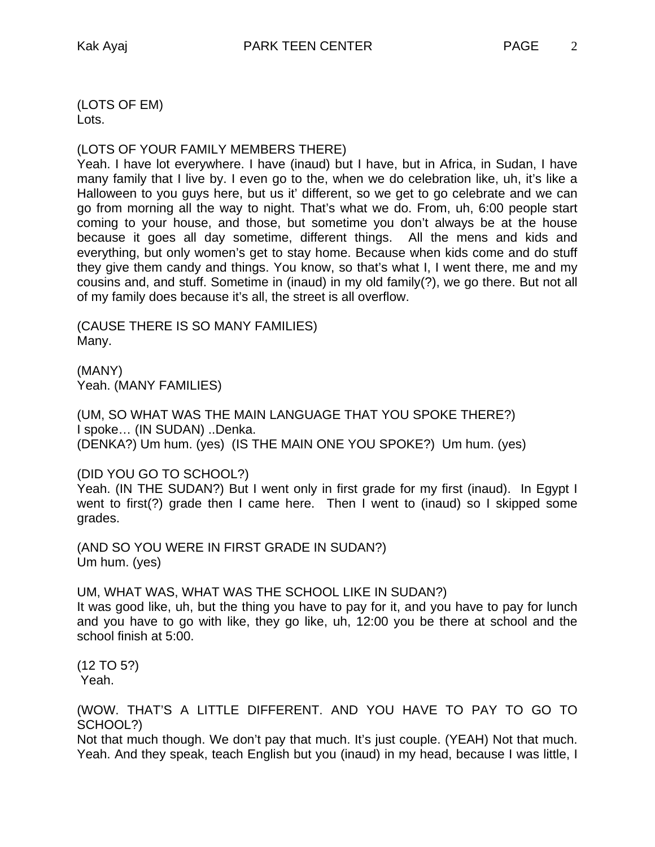(LOTS OF EM) Lots.

### (LOTS OF YOUR FAMILY MEMBERS THERE)

Yeah. I have lot everywhere. I have (inaud) but I have, but in Africa, in Sudan, I have many family that I live by. I even go to the, when we do celebration like, uh, it's like a Halloween to you guys here, but us it' different, so we get to go celebrate and we can go from morning all the way to night. That's what we do. From, uh, 6:00 people start coming to your house, and those, but sometime you don't always be at the house because it goes all day sometime, different things. All the mens and kids and everything, but only women's get to stay home. Because when kids come and do stuff they give them candy and things. You know, so that's what I, I went there, me and my cousins and, and stuff. Sometime in (inaud) in my old family(?), we go there. But not all of my family does because it's all, the street is all overflow.

(CAUSE THERE IS SO MANY FAMILIES) Many.

(MANY) Yeah. (MANY FAMILIES)

(UM, SO WHAT WAS THE MAIN LANGUAGE THAT YOU SPOKE THERE?) I spoke… (IN SUDAN) ..Denka. (DENKA?) Um hum. (yes) (IS THE MAIN ONE YOU SPOKE?) Um hum. (yes)

(DID YOU GO TO SCHOOL?)

Yeah. (IN THE SUDAN?) But I went only in first grade for my first (inaud). In Egypt I went to first(?) grade then I came here. Then I went to (inaud) so I skipped some grades.

(AND SO YOU WERE IN FIRST GRADE IN SUDAN?) Um hum. (yes)

UM, WHAT WAS, WHAT WAS THE SCHOOL LIKE IN SUDAN?)

It was good like, uh, but the thing you have to pay for it, and you have to pay for lunch and you have to go with like, they go like, uh, 12:00 you be there at school and the school finish at 5:00.

(12 TO 5?) Yeah.

(WOW. THAT'S A LITTLE DIFFERENT. AND YOU HAVE TO PAY TO GO TO SCHOOL?)

Not that much though. We don't pay that much. It's just couple. (YEAH) Not that much. Yeah. And they speak, teach English but you (inaud) in my head, because I was little, I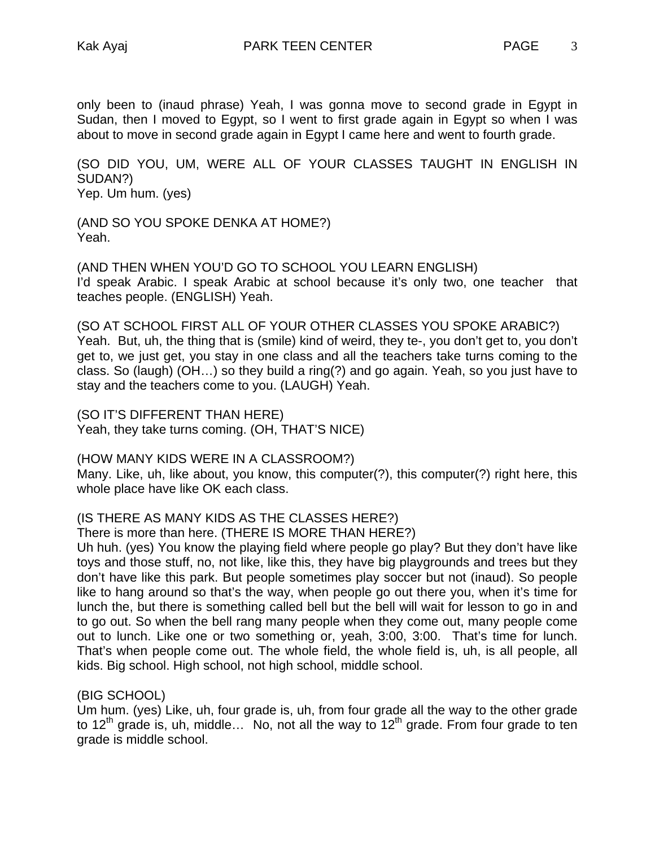only been to (inaud phrase) Yeah, I was gonna move to second grade in Egypt in Sudan, then I moved to Egypt, so I went to first grade again in Egypt so when I was about to move in second grade again in Egypt I came here and went to fourth grade.

(SO DID YOU, UM, WERE ALL OF YOUR CLASSES TAUGHT IN ENGLISH IN SUDAN?) Yep. Um hum. (yes)

(AND SO YOU SPOKE DENKA AT HOME?) Yeah.

(AND THEN WHEN YOU'D GO TO SCHOOL YOU LEARN ENGLISH) I'd speak Arabic. I speak Arabic at school because it's only two, one teacher that teaches people. (ENGLISH) Yeah.

(SO AT SCHOOL FIRST ALL OF YOUR OTHER CLASSES YOU SPOKE ARABIC?) Yeah. But, uh, the thing that is (smile) kind of weird, they te-, you don't get to, you don't get to, we just get, you stay in one class and all the teachers take turns coming to the class. So (laugh) (OH…) so they build a ring(?) and go again. Yeah, so you just have to stay and the teachers come to you. (LAUGH) Yeah.

(SO IT'S DIFFERENT THAN HERE) Yeah, they take turns coming. (OH, THAT'S NICE)

(HOW MANY KIDS WERE IN A CLASSROOM?)

Many. Like, uh, like about, you know, this computer(?), this computer(?) right here, this whole place have like OK each class.

# (IS THERE AS MANY KIDS AS THE CLASSES HERE?)

There is more than here. (THERE IS MORE THAN HERE?)

Uh huh. (yes) You know the playing field where people go play? But they don't have like toys and those stuff, no, not like, like this, they have big playgrounds and trees but they don't have like this park. But people sometimes play soccer but not (inaud). So people like to hang around so that's the way, when people go out there you, when it's time for lunch the, but there is something called bell but the bell will wait for lesson to go in and to go out. So when the bell rang many people when they come out, many people come out to lunch. Like one or two something or, yeah, 3:00, 3:00. That's time for lunch. That's when people come out. The whole field, the whole field is, uh, is all people, all kids. Big school. High school, not high school, middle school.

(BIG SCHOOL)

Um hum. (yes) Like, uh, four grade is, uh, from four grade all the way to the other grade to  $12<sup>th</sup>$  grade is, uh, middle... No, not all the way to  $12<sup>th</sup>$  grade. From four grade to ten grade is middle school.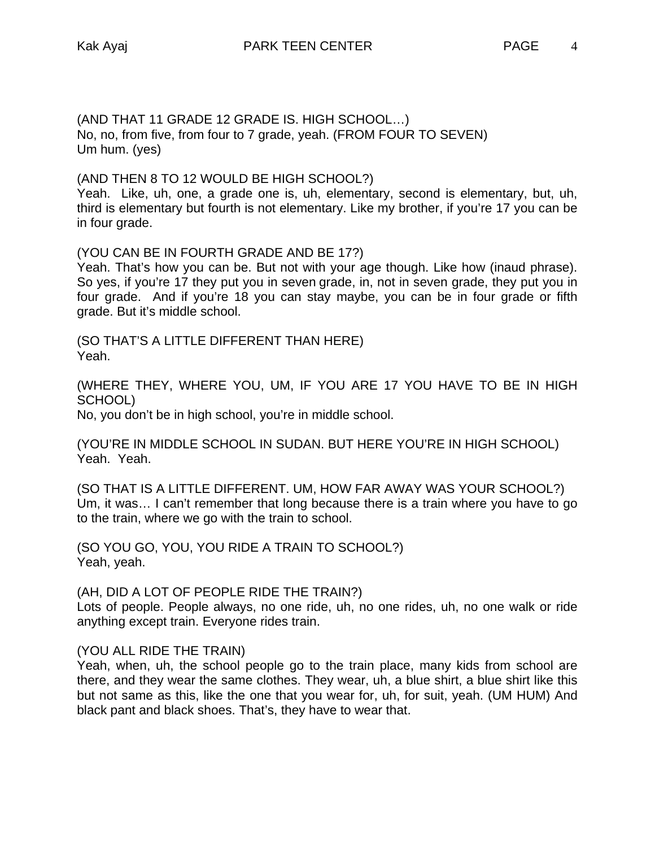(AND THAT 11 GRADE 12 GRADE IS. HIGH SCHOOL…) No, no, from five, from four to 7 grade, yeah. (FROM FOUR TO SEVEN) Um hum. (yes)

(AND THEN 8 TO 12 WOULD BE HIGH SCHOOL?)

Yeah. Like, uh, one, a grade one is, uh, elementary, second is elementary, but, uh, third is elementary but fourth is not elementary. Like my brother, if you're 17 you can be in four grade.

(YOU CAN BE IN FOURTH GRADE AND BE 17?)

Yeah. That's how you can be. But not with your age though. Like how (inaud phrase). So yes, if you're 17 they put you in seven grade, in, not in seven grade, they put you in four grade. And if you're 18 you can stay maybe, you can be in four grade or fifth grade. But it's middle school.

(SO THAT'S A LITTLE DIFFERENT THAN HERE) Yeah.

(WHERE THEY, WHERE YOU, UM, IF YOU ARE 17 YOU HAVE TO BE IN HIGH SCHOOL)

No, you don't be in high school, you're in middle school.

(YOU'RE IN MIDDLE SCHOOL IN SUDAN. BUT HERE YOU'RE IN HIGH SCHOOL) Yeah. Yeah.

(SO THAT IS A LITTLE DIFFERENT. UM, HOW FAR AWAY WAS YOUR SCHOOL?) Um, it was… I can't remember that long because there is a train where you have to go to the train, where we go with the train to school.

(SO YOU GO, YOU, YOU RIDE A TRAIN TO SCHOOL?) Yeah, yeah.

(AH, DID A LOT OF PEOPLE RIDE THE TRAIN?)

Lots of people. People always, no one ride, uh, no one rides, uh, no one walk or ride anything except train. Everyone rides train.

(YOU ALL RIDE THE TRAIN)

Yeah, when, uh, the school people go to the train place, many kids from school are there, and they wear the same clothes. They wear, uh, a blue shirt, a blue shirt like this but not same as this, like the one that you wear for, uh, for suit, yeah. (UM HUM) And black pant and black shoes. That's, they have to wear that.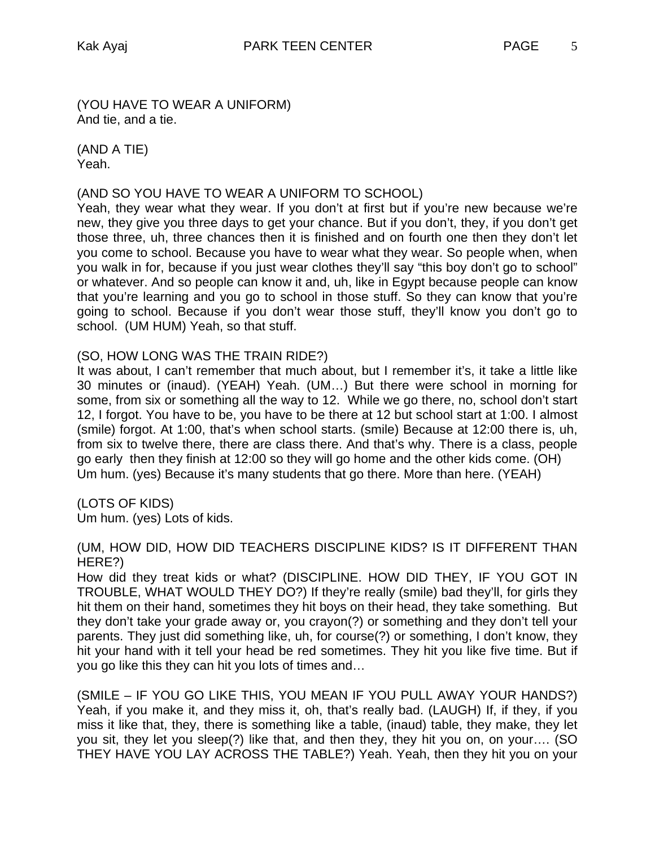(YOU HAVE TO WEAR A UNIFORM) And tie, and a tie.

(AND A TIE) Yeah.

### (AND SO YOU HAVE TO WEAR A UNIFORM TO SCHOOL)

Yeah, they wear what they wear. If you don't at first but if you're new because we're new, they give you three days to get your chance. But if you don't, they, if you don't get those three, uh, three chances then it is finished and on fourth one then they don't let you come to school. Because you have to wear what they wear. So people when, when you walk in for, because if you just wear clothes they'll say "this boy don't go to school" or whatever. And so people can know it and, uh, like in Egypt because people can know that you're learning and you go to school in those stuff. So they can know that you're going to school. Because if you don't wear those stuff, they'll know you don't go to school. (UM HUM) Yeah, so that stuff.

#### (SO, HOW LONG WAS THE TRAIN RIDE?)

It was about, I can't remember that much about, but I remember it's, it take a little like 30 minutes or (inaud). (YEAH) Yeah. (UM…) But there were school in morning for some, from six or something all the way to 12. While we go there, no, school don't start 12, I forgot. You have to be, you have to be there at 12 but school start at 1:00. I almost (smile) forgot. At 1:00, that's when school starts. (smile) Because at 12:00 there is, uh, from six to twelve there, there are class there. And that's why. There is a class, people go early then they finish at 12:00 so they will go home and the other kids come. (OH) Um hum. (yes) Because it's many students that go there. More than here. (YEAH)

#### (LOTS OF KIDS)

Um hum. (yes) Lots of kids.

# (UM, HOW DID, HOW DID TEACHERS DISCIPLINE KIDS? IS IT DIFFERENT THAN HERE?)

How did they treat kids or what? (DISCIPLINE. HOW DID THEY, IF YOU GOT IN TROUBLE, WHAT WOULD THEY DO?) If they're really (smile) bad they'll, for girls they hit them on their hand, sometimes they hit boys on their head, they take something. But they don't take your grade away or, you crayon(?) or something and they don't tell your parents. They just did something like, uh, for course(?) or something, I don't know, they hit your hand with it tell your head be red sometimes. They hit you like five time. But if you go like this they can hit you lots of times and…

(SMILE – IF YOU GO LIKE THIS, YOU MEAN IF YOU PULL AWAY YOUR HANDS?) Yeah, if you make it, and they miss it, oh, that's really bad. (LAUGH) If, if they, if you miss it like that, they, there is something like a table, (inaud) table, they make, they let you sit, they let you sleep(?) like that, and then they, they hit you on, on your…. (SO THEY HAVE YOU LAY ACROSS THE TABLE?) Yeah. Yeah, then they hit you on your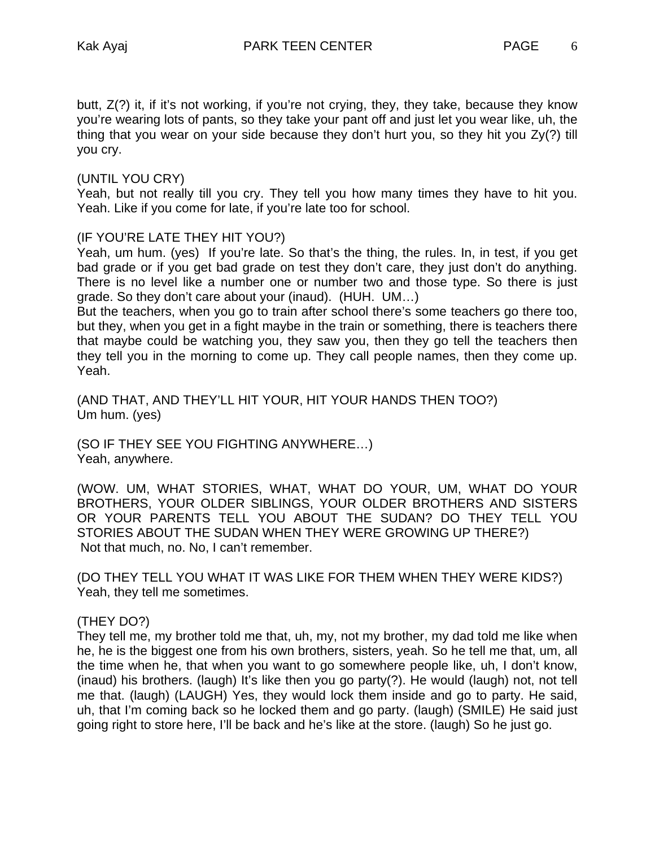butt, Z(?) it, if it's not working, if you're not crying, they, they take, because they know you're wearing lots of pants, so they take your pant off and just let you wear like, uh, the thing that you wear on your side because they don't hurt you, so they hit you Zy(?) till you cry.

### (UNTIL YOU CRY)

Yeah, but not really till you cry. They tell you how many times they have to hit you. Yeah. Like if you come for late, if you're late too for school.

### (IF YOU'RE LATE THEY HIT YOU?)

Yeah, um hum. (yes) If you're late. So that's the thing, the rules. In, in test, if you get bad grade or if you get bad grade on test they don't care, they just don't do anything. There is no level like a number one or number two and those type. So there is just grade. So they don't care about your (inaud). (HUH. UM…)

But the teachers, when you go to train after school there's some teachers go there too, but they, when you get in a fight maybe in the train or something, there is teachers there that maybe could be watching you, they saw you, then they go tell the teachers then they tell you in the morning to come up. They call people names, then they come up. Yeah.

(AND THAT, AND THEY'LL HIT YOUR, HIT YOUR HANDS THEN TOO?) Um hum. (yes)

(SO IF THEY SEE YOU FIGHTING ANYWHERE…) Yeah, anywhere.

(WOW. UM, WHAT STORIES, WHAT, WHAT DO YOUR, UM, WHAT DO YOUR BROTHERS, YOUR OLDER SIBLINGS, YOUR OLDER BROTHERS AND SISTERS OR YOUR PARENTS TELL YOU ABOUT THE SUDAN? DO THEY TELL YOU STORIES ABOUT THE SUDAN WHEN THEY WERE GROWING UP THERE?) Not that much, no. No, I can't remember.

(DO THEY TELL YOU WHAT IT WAS LIKE FOR THEM WHEN THEY WERE KIDS?) Yeah, they tell me sometimes.

# (THEY DO?)

They tell me, my brother told me that, uh, my, not my brother, my dad told me like when he, he is the biggest one from his own brothers, sisters, yeah. So he tell me that, um, all the time when he, that when you want to go somewhere people like, uh, I don't know, (inaud) his brothers. (laugh) It's like then you go party(?). He would (laugh) not, not tell me that. (laugh) (LAUGH) Yes, they would lock them inside and go to party. He said, uh, that I'm coming back so he locked them and go party. (laugh) (SMILE) He said just going right to store here, I'll be back and he's like at the store. (laugh) So he just go.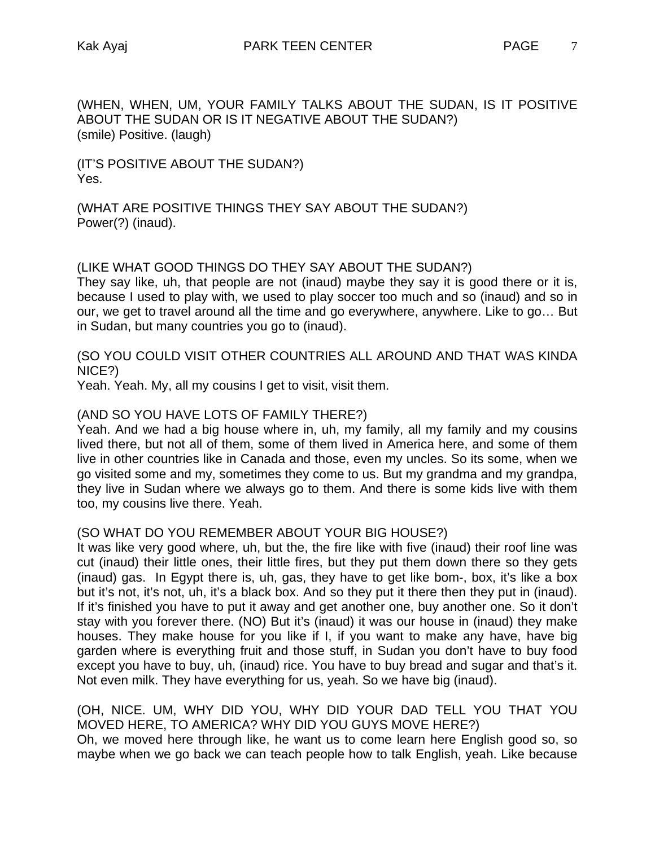(WHEN, WHEN, UM, YOUR FAMILY TALKS ABOUT THE SUDAN, IS IT POSITIVE ABOUT THE SUDAN OR IS IT NEGATIVE ABOUT THE SUDAN?) (smile) Positive. (laugh)

(IT'S POSITIVE ABOUT THE SUDAN?) Yes.

(WHAT ARE POSITIVE THINGS THEY SAY ABOUT THE SUDAN?) Power(?) (inaud).

# (LIKE WHAT GOOD THINGS DO THEY SAY ABOUT THE SUDAN?)

They say like, uh, that people are not (inaud) maybe they say it is good there or it is, because I used to play with, we used to play soccer too much and so (inaud) and so in our, we get to travel around all the time and go everywhere, anywhere. Like to go… But in Sudan, but many countries you go to (inaud).

(SO YOU COULD VISIT OTHER COUNTRIES ALL AROUND AND THAT WAS KINDA NICE?)

Yeah. Yeah. My, all my cousins I get to visit, visit them.

# (AND SO YOU HAVE LOTS OF FAMILY THERE?)

Yeah. And we had a big house where in, uh, my family, all my family and my cousins lived there, but not all of them, some of them lived in America here, and some of them live in other countries like in Canada and those, even my uncles. So its some, when we go visited some and my, sometimes they come to us. But my grandma and my grandpa, they live in Sudan where we always go to them. And there is some kids live with them too, my cousins live there. Yeah.

#### (SO WHAT DO YOU REMEMBER ABOUT YOUR BIG HOUSE?)

It was like very good where, uh, but the, the fire like with five (inaud) their roof line was cut (inaud) their little ones, their little fires, but they put them down there so they gets (inaud) gas. In Egypt there is, uh, gas, they have to get like bom-, box, it's like a box but it's not, it's not, uh, it's a black box. And so they put it there then they put in (inaud). If it's finished you have to put it away and get another one, buy another one. So it don't stay with you forever there. (NO) But it's (inaud) it was our house in (inaud) they make houses. They make house for you like if I, if you want to make any have, have big garden where is everything fruit and those stuff, in Sudan you don't have to buy food except you have to buy, uh, (inaud) rice. You have to buy bread and sugar and that's it. Not even milk. They have everything for us, yeah. So we have big (inaud).

# (OH, NICE. UM, WHY DID YOU, WHY DID YOUR DAD TELL YOU THAT YOU MOVED HERE, TO AMERICA? WHY DID YOU GUYS MOVE HERE?)

Oh, we moved here through like, he want us to come learn here English good so, so maybe when we go back we can teach people how to talk English, yeah. Like because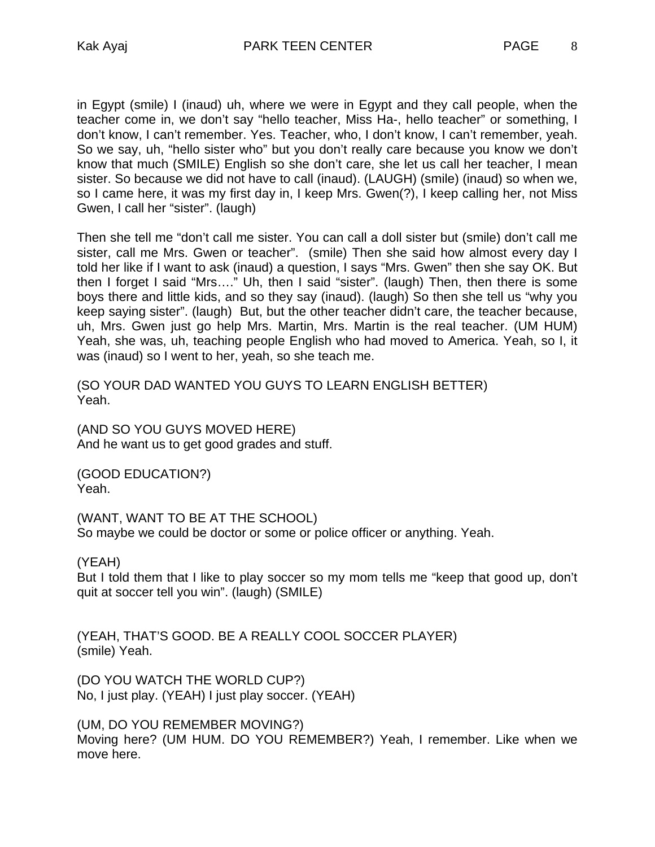in Egypt (smile) I (inaud) uh, where we were in Egypt and they call people, when the teacher come in, we don't say "hello teacher, Miss Ha-, hello teacher" or something, I don't know, I can't remember. Yes. Teacher, who, I don't know, I can't remember, yeah. So we say, uh, "hello sister who" but you don't really care because you know we don't know that much (SMILE) English so she don't care, she let us call her teacher, I mean sister. So because we did not have to call (inaud). (LAUGH) (smile) (inaud) so when we, so I came here, it was my first day in, I keep Mrs. Gwen(?), I keep calling her, not Miss Gwen, I call her "sister". (laugh)

Then she tell me "don't call me sister. You can call a doll sister but (smile) don't call me sister, call me Mrs. Gwen or teacher". (smile) Then she said how almost every day I told her like if I want to ask (inaud) a question, I says "Mrs. Gwen" then she say OK. But then I forget I said "Mrs…." Uh, then I said "sister". (laugh) Then, then there is some boys there and little kids, and so they say (inaud). (laugh) So then she tell us "why you keep saying sister". (laugh) But, but the other teacher didn't care, the teacher because, uh, Mrs. Gwen just go help Mrs. Martin, Mrs. Martin is the real teacher. (UM HUM) Yeah, she was, uh, teaching people English who had moved to America. Yeah, so I, it was (inaud) so I went to her, yeah, so she teach me.

(SO YOUR DAD WANTED YOU GUYS TO LEARN ENGLISH BETTER) Yeah.

(AND SO YOU GUYS MOVED HERE) And he want us to get good grades and stuff.

(GOOD EDUCATION?) Yeah.

(WANT, WANT TO BE AT THE SCHOOL) So maybe we could be doctor or some or police officer or anything. Yeah.

(YEAH)

But I told them that I like to play soccer so my mom tells me "keep that good up, don't quit at soccer tell you win". (laugh) (SMILE)

(YEAH, THAT'S GOOD. BE A REALLY COOL SOCCER PLAYER) (smile) Yeah.

(DO YOU WATCH THE WORLD CUP?) No, I just play. (YEAH) I just play soccer. (YEAH)

(UM, DO YOU REMEMBER MOVING?) Moving here? (UM HUM. DO YOU REMEMBER?) Yeah, I remember. Like when we move here.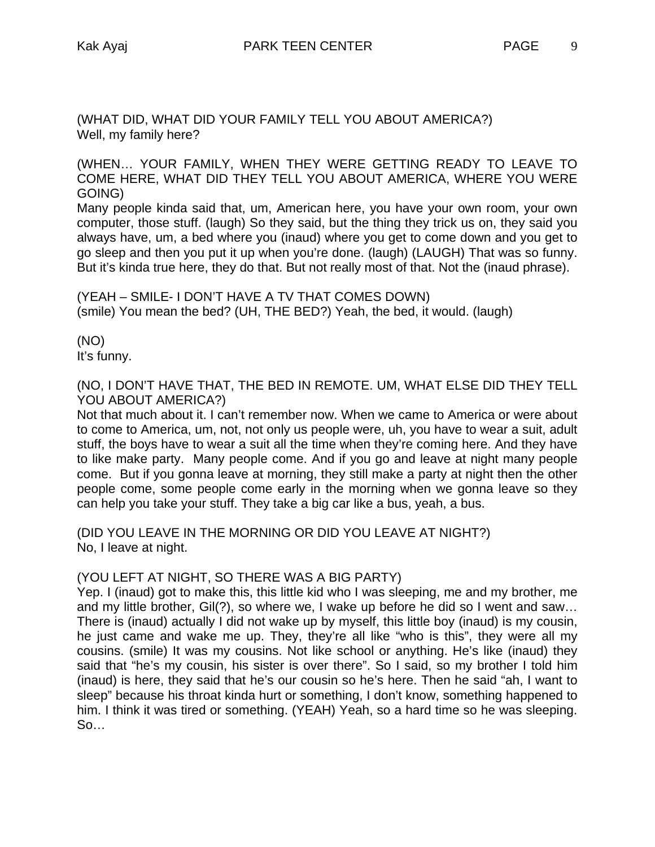(WHAT DID, WHAT DID YOUR FAMILY TELL YOU ABOUT AMERICA?) Well, my family here?

(WHEN… YOUR FAMILY, WHEN THEY WERE GETTING READY TO LEAVE TO COME HERE, WHAT DID THEY TELL YOU ABOUT AMERICA, WHERE YOU WERE GOING)

Many people kinda said that, um, American here, you have your own room, your own computer, those stuff. (laugh) So they said, but the thing they trick us on, they said you always have, um, a bed where you (inaud) where you get to come down and you get to go sleep and then you put it up when you're done. (laugh) (LAUGH) That was so funny. But it's kinda true here, they do that. But not really most of that. Not the (inaud phrase).

(YEAH – SMILE- I DON'T HAVE A TV THAT COMES DOWN) (smile) You mean the bed? (UH, THE BED?) Yeah, the bed, it would. (laugh)

(NO) It's funny.

(NO, I DON'T HAVE THAT, THE BED IN REMOTE. UM, WHAT ELSE DID THEY TELL YOU ABOUT AMERICA?)

Not that much about it. I can't remember now. When we came to America or were about to come to America, um, not, not only us people were, uh, you have to wear a suit, adult stuff, the boys have to wear a suit all the time when they're coming here. And they have to like make party. Many people come. And if you go and leave at night many people come. But if you gonna leave at morning, they still make a party at night then the other people come, some people come early in the morning when we gonna leave so they can help you take your stuff. They take a big car like a bus, yeah, a bus.

(DID YOU LEAVE IN THE MORNING OR DID YOU LEAVE AT NIGHT?) No, I leave at night.

# (YOU LEFT AT NIGHT, SO THERE WAS A BIG PARTY)

Yep. I (inaud) got to make this, this little kid who I was sleeping, me and my brother, me and my little brother, Gil(?), so where we, I wake up before he did so I went and saw… There is (inaud) actually I did not wake up by myself, this little boy (inaud) is my cousin, he just came and wake me up. They, they're all like "who is this", they were all my cousins. (smile) It was my cousins. Not like school or anything. He's like (inaud) they said that "he's my cousin, his sister is over there". So I said, so my brother I told him (inaud) is here, they said that he's our cousin so he's here. Then he said "ah, I want to sleep" because his throat kinda hurt or something, I don't know, something happened to him. I think it was tired or something. (YEAH) Yeah, so a hard time so he was sleeping. So…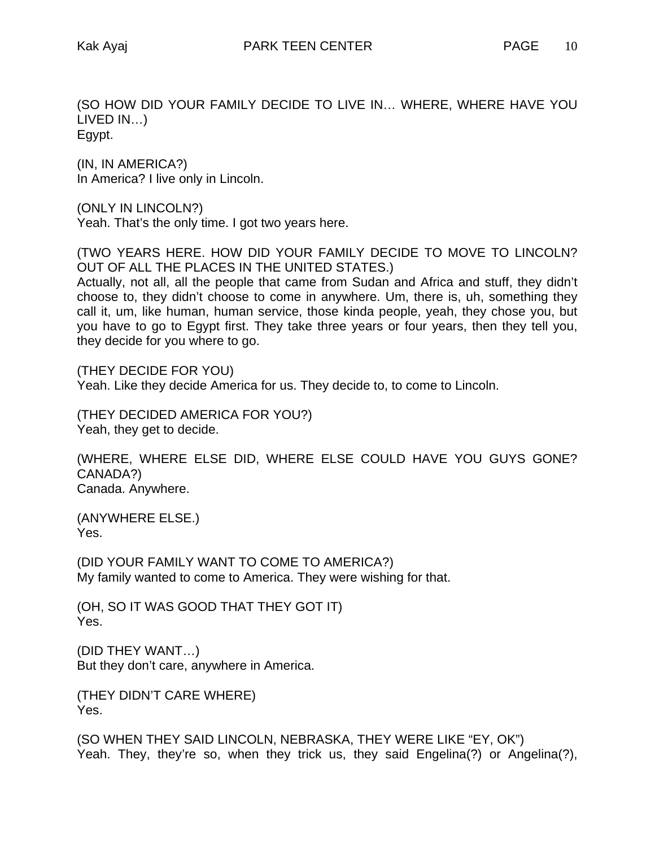(SO HOW DID YOUR FAMILY DECIDE TO LIVE IN… WHERE, WHERE HAVE YOU LIVED IN…) Egypt.

(IN, IN AMERICA?) In America? I live only in Lincoln.

(ONLY IN LINCOLN?)

Yeah. That's the only time. I got two years here.

(TWO YEARS HERE. HOW DID YOUR FAMILY DECIDE TO MOVE TO LINCOLN? OUT OF ALL THE PLACES IN THE UNITED STATES.)

Actually, not all, all the people that came from Sudan and Africa and stuff, they didn't choose to, they didn't choose to come in anywhere. Um, there is, uh, something they call it, um, like human, human service, those kinda people, yeah, they chose you, but you have to go to Egypt first. They take three years or four years, then they tell you, they decide for you where to go.

(THEY DECIDE FOR YOU) Yeah. Like they decide America for us. They decide to, to come to Lincoln.

(THEY DECIDED AMERICA FOR YOU?) Yeah, they get to decide.

(WHERE, WHERE ELSE DID, WHERE ELSE COULD HAVE YOU GUYS GONE? CANADA?) Canada. Anywhere.

(ANYWHERE ELSE.) Yes.

(DID YOUR FAMILY WANT TO COME TO AMERICA?) My family wanted to come to America. They were wishing for that.

(OH, SO IT WAS GOOD THAT THEY GOT IT) Yes.

(DID THEY WANT…) But they don't care, anywhere in America.

(THEY DIDN'T CARE WHERE) Yes.

(SO WHEN THEY SAID LINCOLN, NEBRASKA, THEY WERE LIKE "EY, OK") Yeah. They, they're so, when they trick us, they said Engelina(?) or Angelina(?),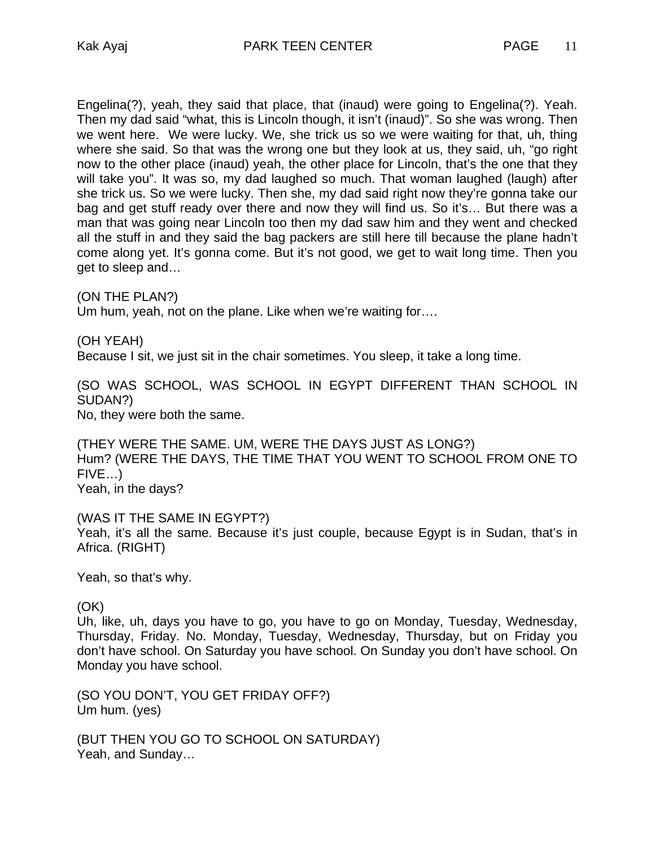Engelina(?), yeah, they said that place, that (inaud) were going to Engelina(?). Yeah. Then my dad said "what, this is Lincoln though, it isn't (inaud)". So she was wrong. Then we went here. We were lucky. We, she trick us so we were waiting for that, uh, thing where she said. So that was the wrong one but they look at us, they said, uh, "go right now to the other place (inaud) yeah, the other place for Lincoln, that's the one that they will take you". It was so, my dad laughed so much. That woman laughed (laugh) after she trick us. So we were lucky. Then she, my dad said right now they're gonna take our bag and get stuff ready over there and now they will find us. So it's… But there was a man that was going near Lincoln too then my dad saw him and they went and checked all the stuff in and they said the bag packers are still here till because the plane hadn't come along yet. It's gonna come. But it's not good, we get to wait long time. Then you get to sleep and…

(ON THE PLAN?) Um hum, yeah, not on the plane. Like when we're waiting for….

(OH YEAH)

Because I sit, we just sit in the chair sometimes. You sleep, it take a long time.

(SO WAS SCHOOL, WAS SCHOOL IN EGYPT DIFFERENT THAN SCHOOL IN SUDAN?)

No, they were both the same.

(THEY WERE THE SAME. UM, WERE THE DAYS JUST AS LONG?) Hum? (WERE THE DAYS, THE TIME THAT YOU WENT TO SCHOOL FROM ONE TO FIVE…) Yeah, in the days?

(WAS IT THE SAME IN EGYPT?) Yeah, it's all the same. Because it's just couple, because Egypt is in Sudan, that's in Africa. (RIGHT)

Yeah, so that's why.

### (OK)

Uh, like, uh, days you have to go, you have to go on Monday, Tuesday, Wednesday, Thursday, Friday. No. Monday, Tuesday, Wednesday, Thursday, but on Friday you don't have school. On Saturday you have school. On Sunday you don't have school. On Monday you have school.

(SO YOU DON'T, YOU GET FRIDAY OFF?) Um hum. (yes)

(BUT THEN YOU GO TO SCHOOL ON SATURDAY) Yeah, and Sunday…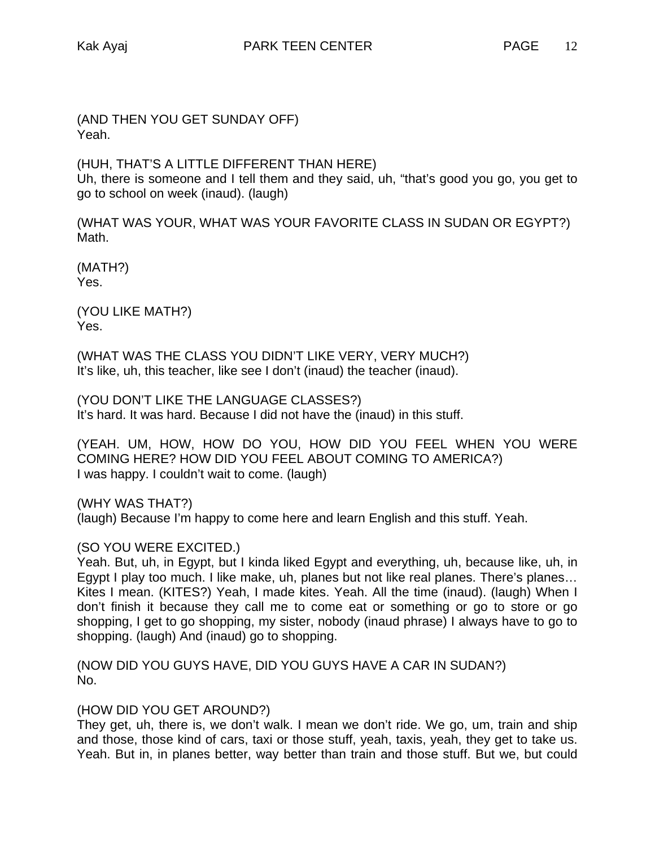(AND THEN YOU GET SUNDAY OFF) Yeah.

(HUH, THAT'S A LITTLE DIFFERENT THAN HERE) Uh, there is someone and I tell them and they said, uh, "that's good you go, you get to go to school on week (inaud). (laugh)

(WHAT WAS YOUR, WHAT WAS YOUR FAVORITE CLASS IN SUDAN OR EGYPT?) Math.

(MATH?) Yes.

(YOU LIKE MATH?) Yes.

(WHAT WAS THE CLASS YOU DIDN'T LIKE VERY, VERY MUCH?) It's like, uh, this teacher, like see I don't (inaud) the teacher (inaud).

(YOU DON'T LIKE THE LANGUAGE CLASSES?) It's hard. It was hard. Because I did not have the (inaud) in this stuff.

(YEAH. UM, HOW, HOW DO YOU, HOW DID YOU FEEL WHEN YOU WERE COMING HERE? HOW DID YOU FEEL ABOUT COMING TO AMERICA?) I was happy. I couldn't wait to come. (laugh)

(WHY WAS THAT?)

(laugh) Because I'm happy to come here and learn English and this stuff. Yeah.

# (SO YOU WERE EXCITED.)

Yeah. But, uh, in Egypt, but I kinda liked Egypt and everything, uh, because like, uh, in Egypt I play too much. I like make, uh, planes but not like real planes. There's planes… Kites I mean. (KITES?) Yeah, I made kites. Yeah. All the time (inaud). (laugh) When I don't finish it because they call me to come eat or something or go to store or go shopping, I get to go shopping, my sister, nobody (inaud phrase) I always have to go to shopping. (laugh) And (inaud) go to shopping.

(NOW DID YOU GUYS HAVE, DID YOU GUYS HAVE A CAR IN SUDAN?) No.

# (HOW DID YOU GET AROUND?)

They get, uh, there is, we don't walk. I mean we don't ride. We go, um, train and ship and those, those kind of cars, taxi or those stuff, yeah, taxis, yeah, they get to take us. Yeah. But in, in planes better, way better than train and those stuff. But we, but could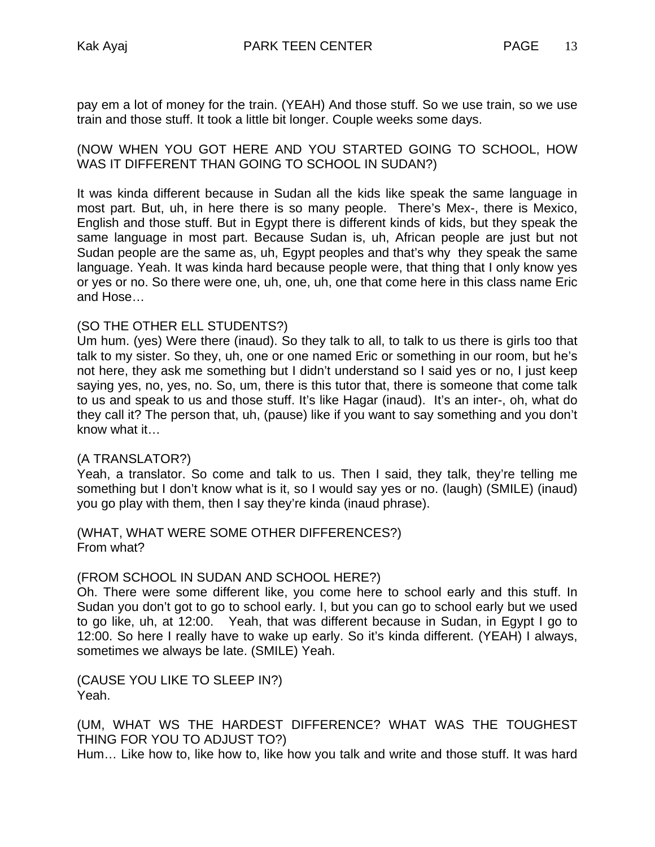pay em a lot of money for the train. (YEAH) And those stuff. So we use train, so we use train and those stuff. It took a little bit longer. Couple weeks some days.

(NOW WHEN YOU GOT HERE AND YOU STARTED GOING TO SCHOOL, HOW WAS IT DIFFERENT THAN GOING TO SCHOOL IN SUDAN?)

It was kinda different because in Sudan all the kids like speak the same language in most part. But, uh, in here there is so many people. There's Mex-, there is Mexico, English and those stuff. But in Egypt there is different kinds of kids, but they speak the same language in most part. Because Sudan is, uh, African people are just but not Sudan people are the same as, uh, Egypt peoples and that's why they speak the same language. Yeah. It was kinda hard because people were, that thing that I only know yes or yes or no. So there were one, uh, one, uh, one that come here in this class name Eric and Hose…

### (SO THE OTHER ELL STUDENTS?)

Um hum. (yes) Were there (inaud). So they talk to all, to talk to us there is girls too that talk to my sister. So they, uh, one or one named Eric or something in our room, but he's not here, they ask me something but I didn't understand so I said yes or no, I just keep saying yes, no, yes, no. So, um, there is this tutor that, there is someone that come talk to us and speak to us and those stuff. It's like Hagar (inaud). It's an inter-, oh, what do they call it? The person that, uh, (pause) like if you want to say something and you don't know what it…

#### (A TRANSLATOR?)

Yeah, a translator. So come and talk to us. Then I said, they talk, they're telling me something but I don't know what is it, so I would say yes or no. (laugh) (SMILE) (inaud) you go play with them, then I say they're kinda (inaud phrase).

(WHAT, WHAT WERE SOME OTHER DIFFERENCES?) From what?

#### (FROM SCHOOL IN SUDAN AND SCHOOL HERE?)

Oh. There were some different like, you come here to school early and this stuff. In Sudan you don't got to go to school early. I, but you can go to school early but we used to go like, uh, at 12:00. Yeah, that was different because in Sudan, in Egypt I go to 12:00. So here I really have to wake up early. So it's kinda different. (YEAH) I always, sometimes we always be late. (SMILE) Yeah.

(CAUSE YOU LIKE TO SLEEP IN?) Yeah.

(UM, WHAT WS THE HARDEST DIFFERENCE? WHAT WAS THE TOUGHEST THING FOR YOU TO ADJUST TO?)

Hum… Like how to, like how to, like how you talk and write and those stuff. It was hard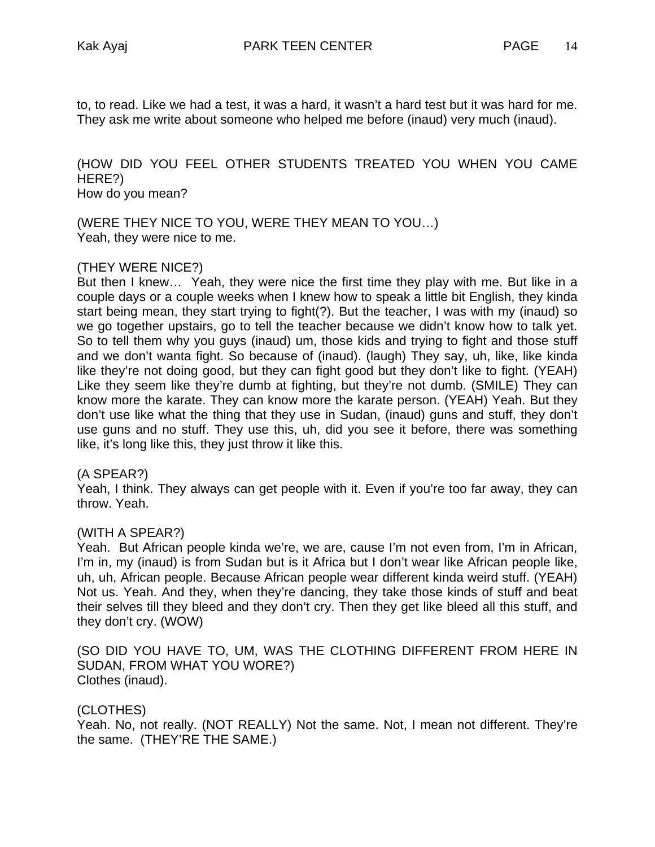to, to read. Like we had a test, it was a hard, it wasn't a hard test but it was hard for me. They ask me write about someone who helped me before (inaud) very much (inaud).

### (HOW DID YOU FEEL OTHER STUDENTS TREATED YOU WHEN YOU CAME HERE?) How do you mean?

(WERE THEY NICE TO YOU, WERE THEY MEAN TO YOU…) Yeah, they were nice to me.

# (THEY WERE NICE?)

But then I knew… Yeah, they were nice the first time they play with me. But like in a couple days or a couple weeks when I knew how to speak a little bit English, they kinda start being mean, they start trying to fight(?). But the teacher, I was with my (inaud) so we go together upstairs, go to tell the teacher because we didn't know how to talk yet. So to tell them why you guys (inaud) um, those kids and trying to fight and those stuff and we don't wanta fight. So because of (inaud). (laugh) They say, uh, like, like kinda like they're not doing good, but they can fight good but they don't like to fight. (YEAH) Like they seem like they're dumb at fighting, but they're not dumb. (SMILE) They can know more the karate. They can know more the karate person. (YEAH) Yeah. But they don't use like what the thing that they use in Sudan, (inaud) guns and stuff, they don't use guns and no stuff. They use this, uh, did you see it before, there was something like, it's long like this, they just throw it like this.

#### (A SPEAR?)

Yeah, I think. They always can get people with it. Even if you're too far away, they can throw. Yeah.

#### (WITH A SPEAR?)

Yeah. But African people kinda we're, we are, cause I'm not even from, I'm in African, I'm in, my (inaud) is from Sudan but is it Africa but I don't wear like African people like, uh, uh, African people. Because African people wear different kinda weird stuff. (YEAH) Not us. Yeah. And they, when they're dancing, they take those kinds of stuff and beat their selves till they bleed and they don't cry. Then they get like bleed all this stuff, and they don't cry. (WOW)

(SO DID YOU HAVE TO, UM, WAS THE CLOTHING DIFFERENT FROM HERE IN SUDAN, FROM WHAT YOU WORE?) Clothes (inaud).

# (CLOTHES)

Yeah. No, not really. (NOT REALLY) Not the same. Not, I mean not different. They're the same. (THEY'RE THE SAME.)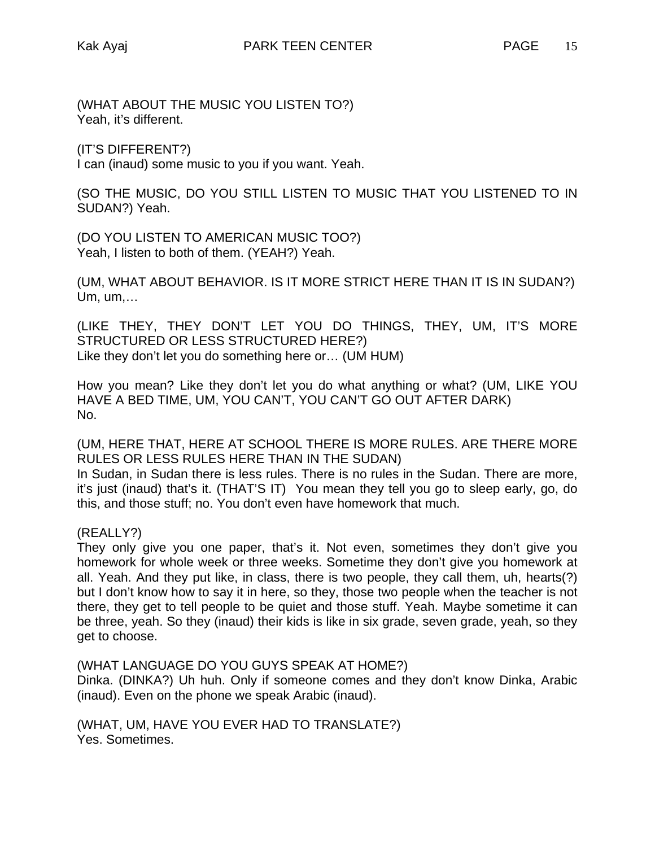(WHAT ABOUT THE MUSIC YOU LISTEN TO?) Yeah, it's different.

(IT'S DIFFERENT?)

I can (inaud) some music to you if you want. Yeah.

(SO THE MUSIC, DO YOU STILL LISTEN TO MUSIC THAT YOU LISTENED TO IN SUDAN?) Yeah.

(DO YOU LISTEN TO AMERICAN MUSIC TOO?) Yeah, I listen to both of them. (YEAH?) Yeah.

(UM, WHAT ABOUT BEHAVIOR. IS IT MORE STRICT HERE THAN IT IS IN SUDAN?) Um, um,…

(LIKE THEY, THEY DON'T LET YOU DO THINGS, THEY, UM, IT'S MORE STRUCTURED OR LESS STRUCTURED HERE?) Like they don't let you do something here or… (UM HUM)

How you mean? Like they don't let you do what anything or what? (UM, LIKE YOU HAVE A BED TIME, UM, YOU CAN'T, YOU CAN'T GO OUT AFTER DARK) No.

(UM, HERE THAT, HERE AT SCHOOL THERE IS MORE RULES. ARE THERE MORE RULES OR LESS RULES HERE THAN IN THE SUDAN)

In Sudan, in Sudan there is less rules. There is no rules in the Sudan. There are more, it's just (inaud) that's it. (THAT'S IT) You mean they tell you go to sleep early, go, do this, and those stuff; no. You don't even have homework that much.

# (REALLY?)

They only give you one paper, that's it. Not even, sometimes they don't give you homework for whole week or three weeks. Sometime they don't give you homework at all. Yeah. And they put like, in class, there is two people, they call them, uh, hearts(?) but I don't know how to say it in here, so they, those two people when the teacher is not there, they get to tell people to be quiet and those stuff. Yeah. Maybe sometime it can be three, yeah. So they (inaud) their kids is like in six grade, seven grade, yeah, so they get to choose.

(WHAT LANGUAGE DO YOU GUYS SPEAK AT HOME?)

Dinka. (DINKA?) Uh huh. Only if someone comes and they don't know Dinka, Arabic (inaud). Even on the phone we speak Arabic (inaud).

(WHAT, UM, HAVE YOU EVER HAD TO TRANSLATE?) Yes. Sometimes.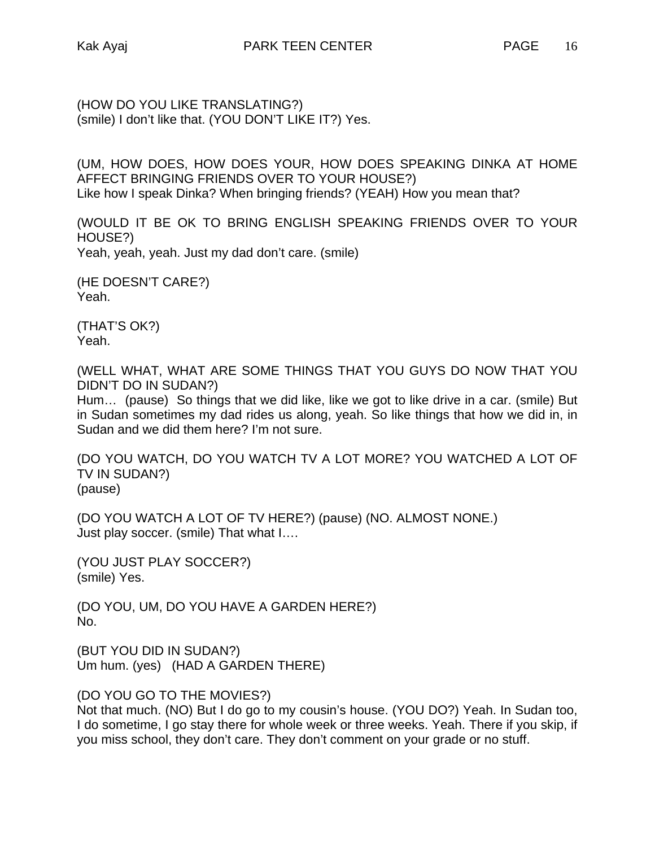(HOW DO YOU LIKE TRANSLATING?) (smile) I don't like that. (YOU DON'T LIKE IT?) Yes.

(UM, HOW DOES, HOW DOES YOUR, HOW DOES SPEAKING DINKA AT HOME AFFECT BRINGING FRIENDS OVER TO YOUR HOUSE?) Like how I speak Dinka? When bringing friends? (YEAH) How you mean that?

(WOULD IT BE OK TO BRING ENGLISH SPEAKING FRIENDS OVER TO YOUR HOUSE?) Yeah, yeah, yeah. Just my dad don't care. (smile)

(HE DOESN'T CARE?) Yeah.

(THAT'S OK?) Yeah.

(WELL WHAT, WHAT ARE SOME THINGS THAT YOU GUYS DO NOW THAT YOU DIDN'T DO IN SUDAN?)

Hum… (pause) So things that we did like, like we got to like drive in a car. (smile) But in Sudan sometimes my dad rides us along, yeah. So like things that how we did in, in Sudan and we did them here? I'm not sure.

(DO YOU WATCH, DO YOU WATCH TV A LOT MORE? YOU WATCHED A LOT OF TV IN SUDAN?) (pause)

(DO YOU WATCH A LOT OF TV HERE?) (pause) (NO. ALMOST NONE.) Just play soccer. (smile) That what I….

(YOU JUST PLAY SOCCER?) (smile) Yes.

(DO YOU, UM, DO YOU HAVE A GARDEN HERE?) No.

(BUT YOU DID IN SUDAN?) Um hum. (yes) (HAD A GARDEN THERE)

(DO YOU GO TO THE MOVIES?)

Not that much. (NO) But I do go to my cousin's house. (YOU DO?) Yeah. In Sudan too, I do sometime, I go stay there for whole week or three weeks. Yeah. There if you skip, if you miss school, they don't care. They don't comment on your grade or no stuff.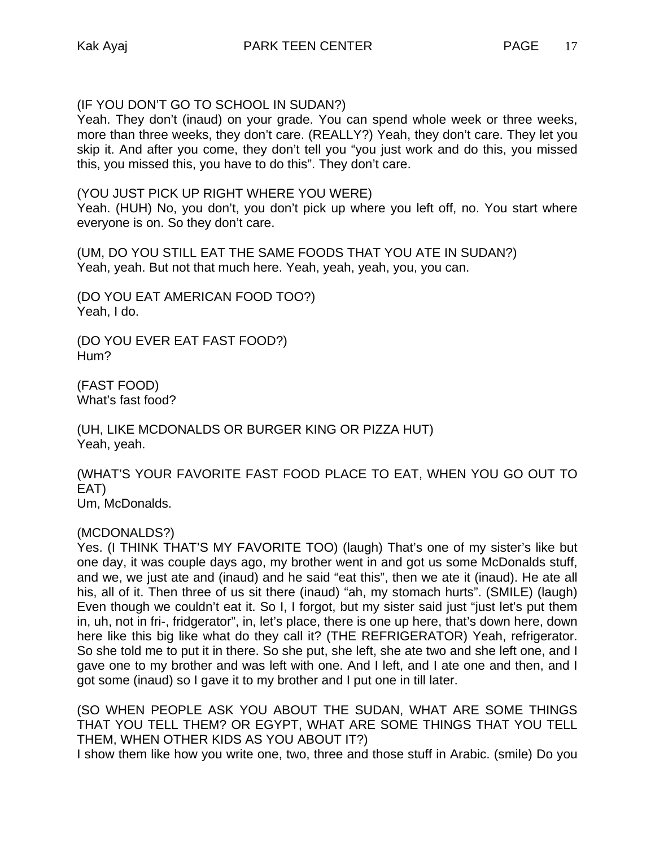(IF YOU DON'T GO TO SCHOOL IN SUDAN?)

Yeah. They don't (inaud) on your grade. You can spend whole week or three weeks, more than three weeks, they don't care. (REALLY?) Yeah, they don't care. They let you skip it. And after you come, they don't tell you "you just work and do this, you missed this, you missed this, you have to do this". They don't care.

(YOU JUST PICK UP RIGHT WHERE YOU WERE)

Yeah. (HUH) No, you don't, you don't pick up where you left off, no. You start where everyone is on. So they don't care.

(UM, DO YOU STILL EAT THE SAME FOODS THAT YOU ATE IN SUDAN?) Yeah, yeah. But not that much here. Yeah, yeah, yeah, you, you can.

(DO YOU EAT AMERICAN FOOD TOO?) Yeah, I do.

(DO YOU EVER EAT FAST FOOD?) Hum?

(FAST FOOD) What's fast food?

(UH, LIKE MCDONALDS OR BURGER KING OR PIZZA HUT) Yeah, yeah.

(WHAT'S YOUR FAVORITE FAST FOOD PLACE TO EAT, WHEN YOU GO OUT TO EAT) Um, McDonalds.

(MCDONALDS?)

Yes. (I THINK THAT'S MY FAVORITE TOO) (laugh) That's one of my sister's like but one day, it was couple days ago, my brother went in and got us some McDonalds stuff, and we, we just ate and (inaud) and he said "eat this", then we ate it (inaud). He ate all his, all of it. Then three of us sit there (inaud) "ah, my stomach hurts". (SMILE) (laugh) Even though we couldn't eat it. So I, I forgot, but my sister said just "just let's put them in, uh, not in fri-, fridgerator", in, let's place, there is one up here, that's down here, down here like this big like what do they call it? (THE REFRIGERATOR) Yeah, refrigerator. So she told me to put it in there. So she put, she left, she ate two and she left one, and I gave one to my brother and was left with one. And I left, and I ate one and then, and I got some (inaud) so I gave it to my brother and I put one in till later.

(SO WHEN PEOPLE ASK YOU ABOUT THE SUDAN, WHAT ARE SOME THINGS THAT YOU TELL THEM? OR EGYPT, WHAT ARE SOME THINGS THAT YOU TELL THEM, WHEN OTHER KIDS AS YOU ABOUT IT?)

I show them like how you write one, two, three and those stuff in Arabic. (smile) Do you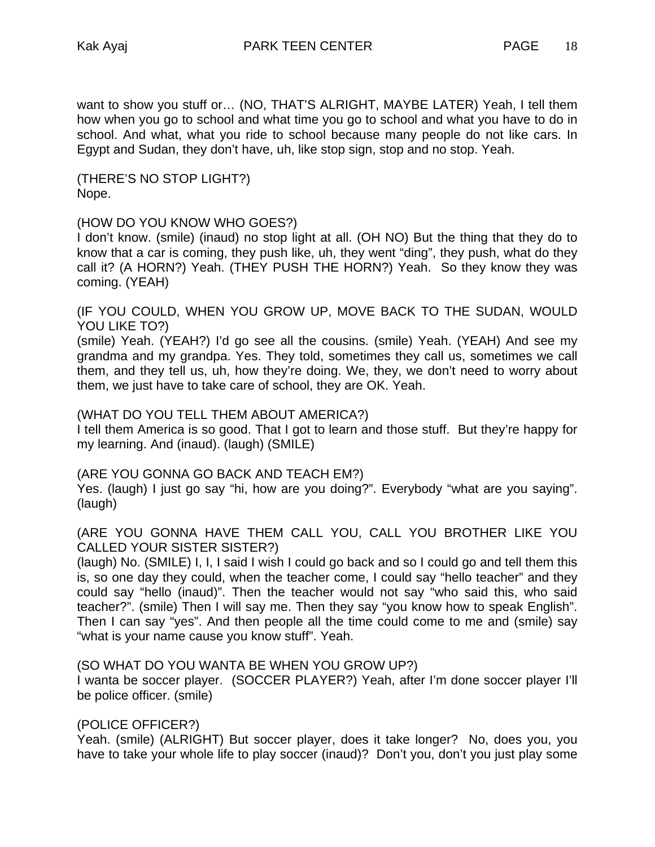want to show you stuff or… (NO, THAT'S ALRIGHT, MAYBE LATER) Yeah, I tell them how when you go to school and what time you go to school and what you have to do in school. And what, what you ride to school because many people do not like cars. In Egypt and Sudan, they don't have, uh, like stop sign, stop and no stop. Yeah.

(THERE'S NO STOP LIGHT?) Nope.

# (HOW DO YOU KNOW WHO GOES?)

I don't know. (smile) (inaud) no stop light at all. (OH NO) But the thing that they do to know that a car is coming, they push like, uh, they went "ding", they push, what do they call it? (A HORN?) Yeah. (THEY PUSH THE HORN?) Yeah. So they know they was coming. (YEAH)

(IF YOU COULD, WHEN YOU GROW UP, MOVE BACK TO THE SUDAN, WOULD YOU LIKE TO?)

(smile) Yeah. (YEAH?) I'd go see all the cousins. (smile) Yeah. (YEAH) And see my grandma and my grandpa. Yes. They told, sometimes they call us, sometimes we call them, and they tell us, uh, how they're doing. We, they, we don't need to worry about them, we just have to take care of school, they are OK. Yeah.

### (WHAT DO YOU TELL THEM ABOUT AMERICA?)

I tell them America is so good. That I got to learn and those stuff. But they're happy for my learning. And (inaud). (laugh) (SMILE)

# (ARE YOU GONNA GO BACK AND TEACH EM?)

Yes. (laugh) I just go say "hi, how are you doing?". Everybody "what are you saying". (laugh)

(ARE YOU GONNA HAVE THEM CALL YOU, CALL YOU BROTHER LIKE YOU CALLED YOUR SISTER SISTER?)

(laugh) No. (SMILE) I, I, I said I wish I could go back and so I could go and tell them this is, so one day they could, when the teacher come, I could say "hello teacher" and they could say "hello (inaud)". Then the teacher would not say "who said this, who said teacher?". (smile) Then I will say me. Then they say "you know how to speak English". Then I can say "yes". And then people all the time could come to me and (smile) say "what is your name cause you know stuff". Yeah.

# (SO WHAT DO YOU WANTA BE WHEN YOU GROW UP?)

I wanta be soccer player. (SOCCER PLAYER?) Yeah, after I'm done soccer player I'll be police officer. (smile)

# (POLICE OFFICER?)

Yeah. (smile) (ALRIGHT) But soccer player, does it take longer? No, does you, you have to take your whole life to play soccer (inaud)? Don't you, don't you just play some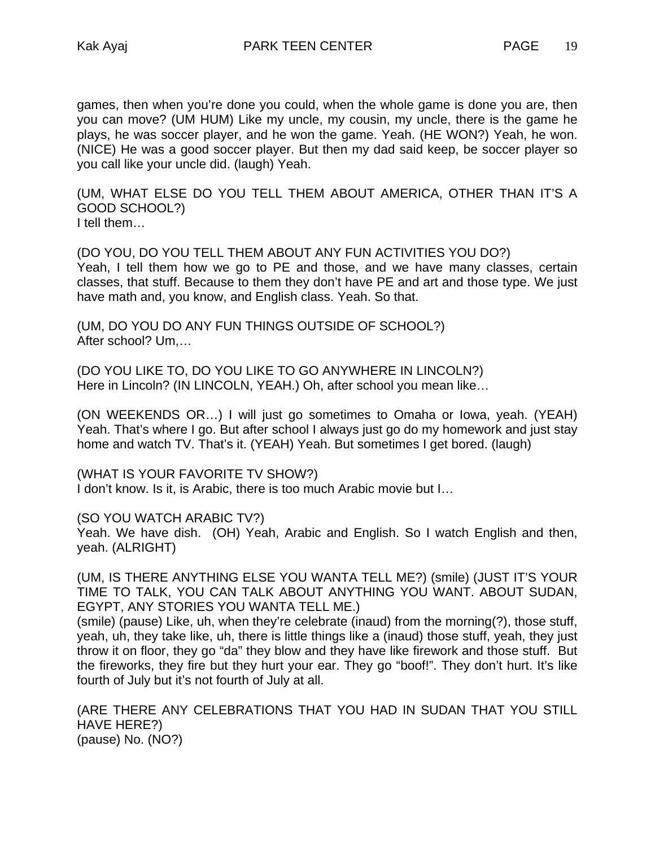games, then when you're done you could, when the whole game is done you are, then you can move? (UM HUM) Like my uncle, my cousin, my uncle, there is the game he plays, he was soccer player, and he won the game. Yeah. (HE WON?) Yeah, he won. (NICE) He was a good soccer player. But then my dad said keep, be soccer player so you call like your uncle did. (laugh) Yeah.

(UM, WHAT ELSE DO YOU TELL THEM ABOUT AMERICA, OTHER THAN IT'S A GOOD SCHOOL?) I tell them…

(DO YOU, DO YOU TELL THEM ABOUT ANY FUN ACTIVITIES YOU DO?) Yeah, I tell them how we go to PE and those, and we have many classes, certain classes, that stuff. Because to them they don't have PE and art and those type. We just have math and, you know, and English class. Yeah. So that.

(UM, DO YOU DO ANY FUN THINGS OUTSIDE OF SCHOOL?) After school? Um,…

(DO YOU LIKE TO, DO YOU LIKE TO GO ANYWHERE IN LINCOLN?) Here in Lincoln? (IN LINCOLN, YEAH.) Oh, after school you mean like…

(ON WEEKENDS OR…) I will just go sometimes to Omaha or Iowa, yeah. (YEAH) Yeah. That's where I go. But after school I always just go do my homework and just stay home and watch TV. That's it. (YEAH) Yeah. But sometimes I get bored. (laugh)

(WHAT IS YOUR FAVORITE TV SHOW?) I don't know. Is it, is Arabic, there is too much Arabic movie but I…

(SO YOU WATCH ARABIC TV?)

Yeah. We have dish. (OH) Yeah, Arabic and English. So I watch English and then, yeah. (ALRIGHT)

(UM, IS THERE ANYTHING ELSE YOU WANTA TELL ME?) (smile) (JUST IT'S YOUR TIME TO TALK, YOU CAN TALK ABOUT ANYTHING YOU WANT. ABOUT SUDAN, EGYPT, ANY STORIES YOU WANTA TELL ME.)

(smile) (pause) Like, uh, when they're celebrate (inaud) from the morning(?), those stuff, yeah, uh, they take like, uh, there is little things like a (inaud) those stuff, yeah, they just throw it on floor, they go "da" they blow and they have like firework and those stuff. But the fireworks, they fire but they hurt your ear. They go "boof!". They don't hurt. It's like fourth of July but it's not fourth of July at all.

(ARE THERE ANY CELEBRATIONS THAT YOU HAD IN SUDAN THAT YOU STILL HAVE HERE?) (pause) No. (NO?)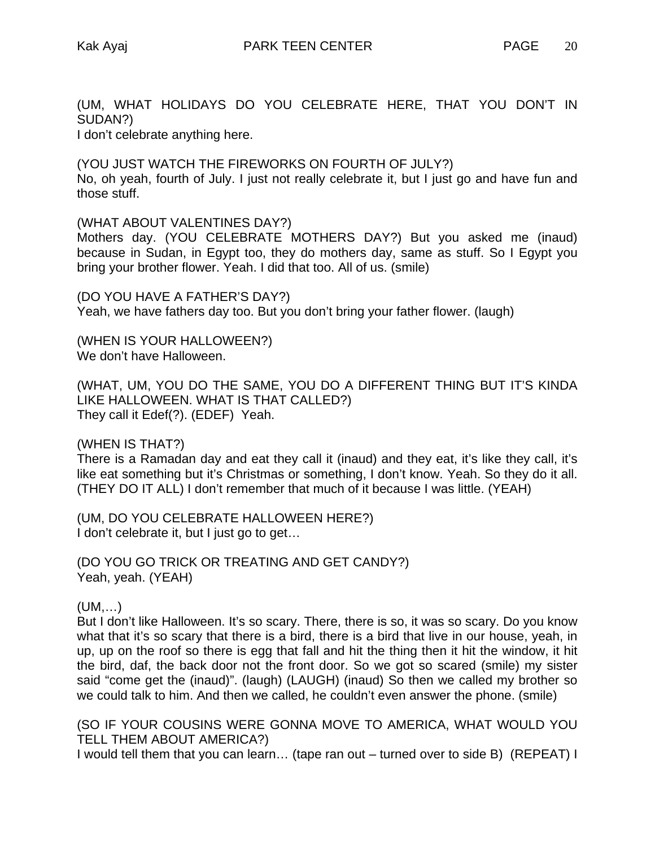(UM, WHAT HOLIDAYS DO YOU CELEBRATE HERE, THAT YOU DON'T IN SUDAN?)

I don't celebrate anything here.

(YOU JUST WATCH THE FIREWORKS ON FOURTH OF JULY?) No, oh yeah, fourth of July. I just not really celebrate it, but I just go and have fun and those stuff.

(WHAT ABOUT VALENTINES DAY?)

Mothers day. (YOU CELEBRATE MOTHERS DAY?) But you asked me (inaud) because in Sudan, in Egypt too, they do mothers day, same as stuff. So I Egypt you bring your brother flower. Yeah. I did that too. All of us. (smile)

(DO YOU HAVE A FATHER'S DAY?) Yeah, we have fathers day too. But you don't bring your father flower. (laugh)

(WHEN IS YOUR HALLOWEEN?) We don't have Halloween.

(WHAT, UM, YOU DO THE SAME, YOU DO A DIFFERENT THING BUT IT'S KINDA LIKE HALLOWEEN. WHAT IS THAT CALLED?) They call it Edef(?). (EDEF) Yeah.

(WHEN IS THAT?)

There is a Ramadan day and eat they call it (inaud) and they eat, it's like they call, it's like eat something but it's Christmas or something, I don't know. Yeah. So they do it all. (THEY DO IT ALL) I don't remember that much of it because I was little. (YEAH)

(UM, DO YOU CELEBRATE HALLOWEEN HERE?) I don't celebrate it, but I just go to get...

(DO YOU GO TRICK OR TREATING AND GET CANDY?) Yeah, yeah. (YEAH)

(UM,…)

But I don't like Halloween. It's so scary. There, there is so, it was so scary. Do you know what that it's so scary that there is a bird, there is a bird that live in our house, yeah, in up, up on the roof so there is egg that fall and hit the thing then it hit the window, it hit the bird, daf, the back door not the front door. So we got so scared (smile) my sister said "come get the (inaud)". (laugh) (LAUGH) (inaud) So then we called my brother so we could talk to him. And then we called, he couldn't even answer the phone. (smile)

(SO IF YOUR COUSINS WERE GONNA MOVE TO AMERICA, WHAT WOULD YOU TELL THEM ABOUT AMERICA?)

I would tell them that you can learn… (tape ran out – turned over to side B) (REPEAT) I